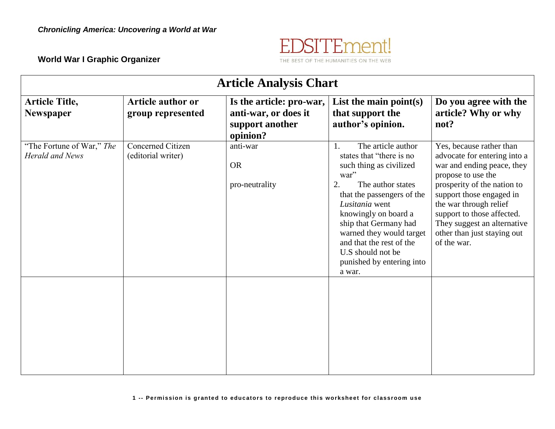

**World War I Graphic Organizer**

| <b>Article Analysis Chart</b>                       |                                                |                                                                                 |                                                                                                                                                                                                                                                                                                                                         |                                                                                                                                                                                                                                                                                                              |  |  |  |
|-----------------------------------------------------|------------------------------------------------|---------------------------------------------------------------------------------|-----------------------------------------------------------------------------------------------------------------------------------------------------------------------------------------------------------------------------------------------------------------------------------------------------------------------------------------|--------------------------------------------------------------------------------------------------------------------------------------------------------------------------------------------------------------------------------------------------------------------------------------------------------------|--|--|--|
| <b>Article Title,</b><br><b>Newspaper</b>           | Article author or<br>group represented         | Is the article: pro-war,<br>anti-war, or does it<br>support another<br>opinion? | List the main point $(s)$<br>that support the<br>author's opinion.                                                                                                                                                                                                                                                                      | Do you agree with the<br>article? Why or why<br>not?                                                                                                                                                                                                                                                         |  |  |  |
| "The Fortune of War," The<br><b>Herald and News</b> | <b>Concerned Citizen</b><br>(editorial writer) | anti-war<br><b>OR</b><br>pro-neutrality                                         | The article author<br>1.<br>states that "there is no<br>such thing as civilized<br>war"<br>2.<br>The author states<br>that the passengers of the<br>Lusitania went<br>knowingly on board a<br>ship that Germany had<br>warned they would target<br>and that the rest of the<br>U.S should not be<br>punished by entering into<br>a war. | Yes, because rather than<br>advocate for entering into a<br>war and ending peace, they<br>propose to use the<br>prosperity of the nation to<br>support those engaged in<br>the war through relief<br>support to those affected.<br>They suggest an alternative<br>other than just staying out<br>of the war. |  |  |  |
|                                                     |                                                |                                                                                 |                                                                                                                                                                                                                                                                                                                                         |                                                                                                                                                                                                                                                                                                              |  |  |  |